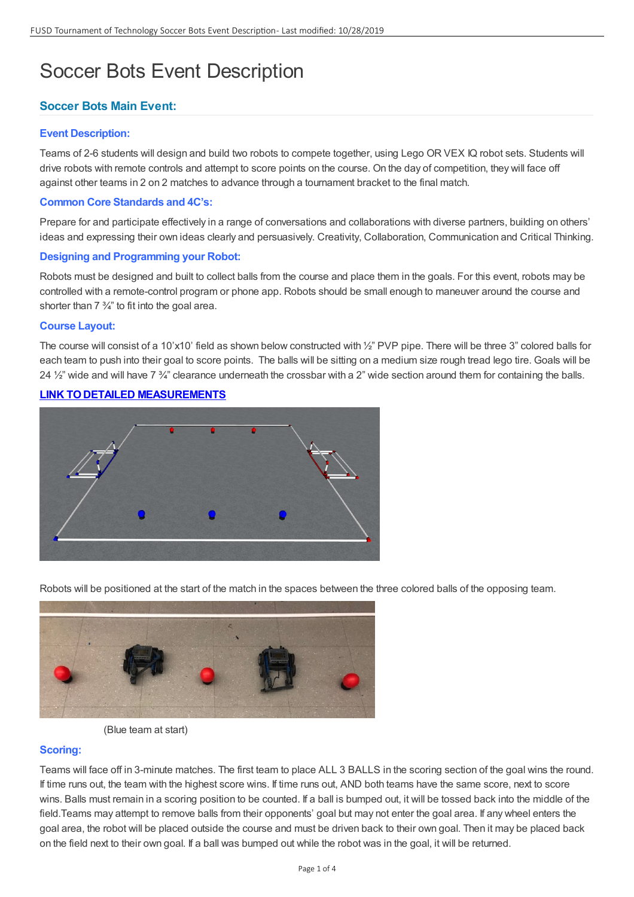# Soccer Bots Event Description

# **Soccer Bots Main Event:**

# **Event Description:**

Teams of 2-6 students will design and build two robots to compete together, using Lego OR VEX IQ robot sets. Students will drive robots with remote controls and attempt to score points on the course. On the day of competition, they will face off against other teams in 2 on 2 matches to advance through a tournament bracket to the final match.

# **Common Core Standards and 4C's:**

Prepare for and participate effectively in a range of conversations and collaborations with diverse partners, building on others' ideas and expressing their own ideas clearly and persuasively. Creativity, Collaboration, Communication and Critical Thinking.

# **Designing and Programming your Robot:**

Robots must be designed and built to collect balls from the course and place them in the goals. For this event, robots may be controlled with a remote-control program or phone app. Robots should be small enough to maneuver around the course and shorter than 7 ¾" to fit into the goal area.

# **Course Layout:**

The course will consist of a 10'x10' field as shown below constructed with 1/2" PVP pipe. There will be three 3" colored balls for each team to push into their goal to score points. The balls will be sitting on a medium size rough tread lego tire. Goals will be 24  $\frac{1}{2}$ " wide and will have 7  $\frac{3}{4}$ " clearance underneath the crossbar with a 2" wide section around them for containing the balls.

# **LINK TODETAILED [MEASUREMENTS](https://drive.google.com/file/d/1BFj6ykc_OTv2s4ioAAE1T7-h-QITJeez/view?usp=sharing)**



Robots will be positioned at the start of the match in the spaces between the three colored balls of the opposing team.



(Blue team at start)

# **Scoring:**

Teams will face off in 3-minute matches. The first team to place ALL 3 BALLS in the scoring section of the goal wins the round. If time runs out, the team with the highest score wins. If time runs out, AND both teams have the same score, next to score wins. Balls must remain in a scoring position to be counted. If a ball is bumped out, it will be tossed back into the middle of the field.Teams may attempt to remove balls from their opponents' goal but may not enter the goal area. If any wheel enters the goal area, the robot will be placed outside the course and must be driven back to their own goal. Then it may be placed back on the field next to their own goal. If a ball was bumped out while the robot was in the goal, it will be returned.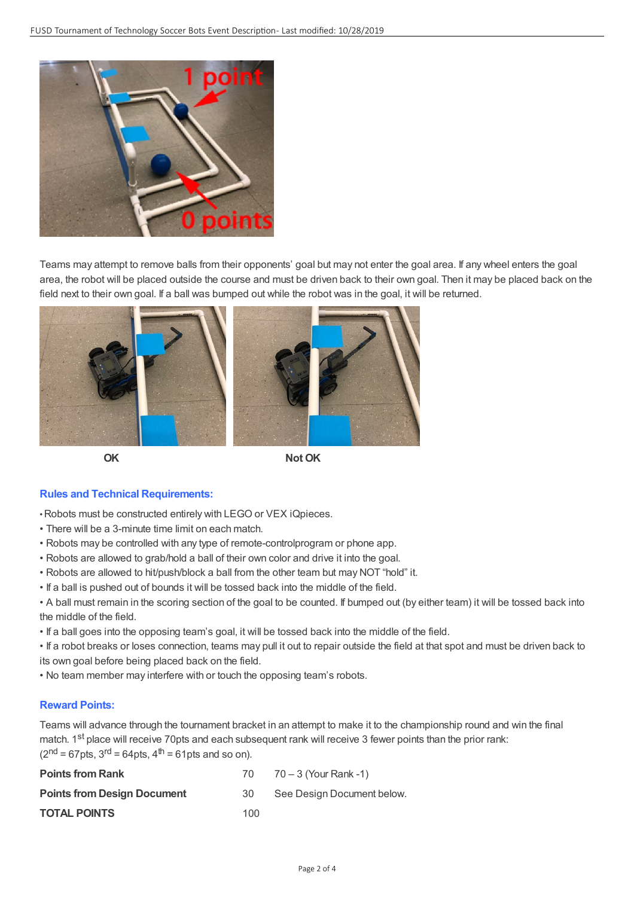

Teams may attempt to remove balls from their opponents' goal but may not enter the goal area. If any wheel enters the goal area, the robot will be placed outside the course and must be driven back to their own goal. Then it may be placed back on the field next to their own goal. If a ball was bumped out while the robot was in the goal, it will be returned.



**OK Not OK**

# **Rules and Technical Requirements:**

•Robots must be constructed entirely with LEGO or VEX iQpieces.

- There will be a 3-minute time limit on each match.
- Robots may be controlled with any type of remote-controlprogram or phone app.
- Robots are allowed to grab/hold a ball of their own color and drive it into the goal.
- Robots are allowed to hit/push/block a ball from the other team but may NOT "hold" it.
- If a ball is pushed out of bounds it will be tossed back into the middle of the field.
- A ball must remain in the scoring section of the goal to be counted. If bumped out (by either team) it will be tossed back into the middle of the field.
- If a ball goes into the opposing team's goal, it will be tossed back into the middle of the field.

• If a robot breaks or loses connection, teams may pull it out to repair outside the field at that spot and must be driven back to its own goal before being placed back on the field.

• No team member may interfere with or touch the opposing team's robots.

# **Reward Points:**

Teams will advance through the tournament bracket in an attempt to make it to the championship round and win the final match. 1<sup>st</sup> place will receive 70pts and each subsequent rank will receive 3 fewer points than the prior rank:  $(2<sup>nd</sup> = 67pts, 3<sup>rd</sup> = 64pts, 4<sup>th</sup> = 61pts and so on).$ 

| <b>Points from Rank</b>            | 70  | 70 – 3 (Your Rank -1)      |
|------------------------------------|-----|----------------------------|
| <b>Points from Design Document</b> | -30 | See Design Document below. |
| <b>TOTAL POINTS</b>                | 100 |                            |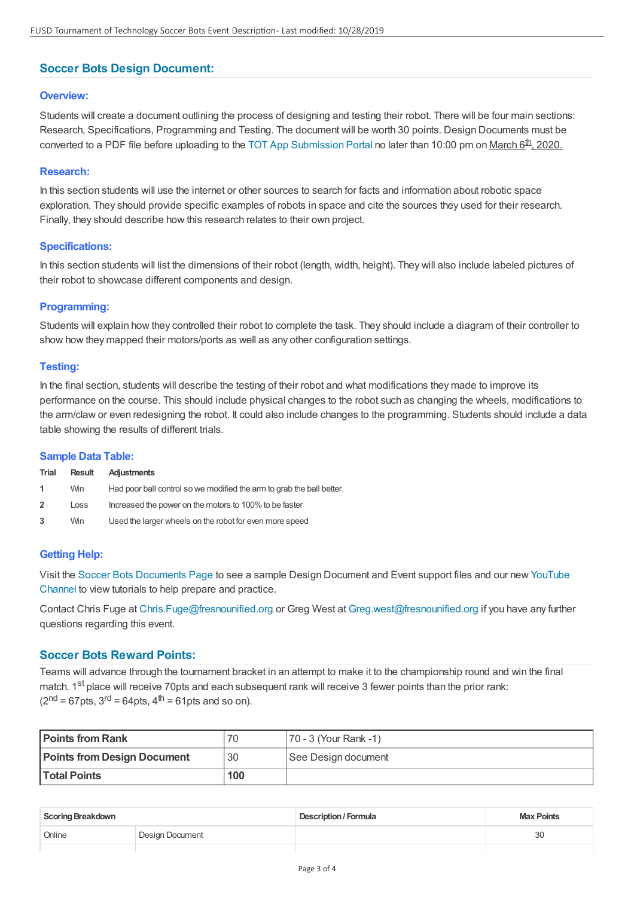# **Soccer Bots Design Document:**

## **Overview:**

Students will create a document outlining the process of designing and testing their robot. There will be four main sections: Research, Specifications, Programming and Testing. The document will be worth 30 points. Design Documents must be converted to a PDF file before uploading to the TOT App [Submission](../) Portal no later than 10:00 pm on March 6<sup>th</sup>, 2020.

## **Research:**

In this section students will use the internet or other sources to search for facts and information about robotic space exploration. They should provide specific examples of robots in space and cite the sources they used for their research. Finally, they should describe how this research relates to their own project.

#### **Specifications:**

In this section students will list the dimensions of their robot (length, width, height). They will also include labeled pictures of their robot to showcase different components and design.

## **Programming:**

Students will explain how they controlled their robot to complete the task. They should include a diagram of their controller to show how they mapped their motors/ports as well as any other configuration settings.

## **Testing:**

In the final section, students will describe the testing of their robot and what modifications they made to improve its performance on the course. This should include physical changes to the robot such as changing the wheels, modifications to the arm/claw or even redesigning the robot. It could also include changes to the programming. Students should include a data table showing the results of different trials.

#### **Sample Data Table:**

| Trial          | <b>Result</b> | Adjustments                                                           |
|----------------|---------------|-----------------------------------------------------------------------|
| $\mathbf{1}$   | Win           | Had poor ball control so we modified the arm to grab the ball better. |
| $\overline{2}$ | Loss          | Increased the power on the motors to 100% to be faster                |
| 3              | Win.          | Used the larger wheels on the robot for even more speed               |

# **Getting Help:**

Visit the Soccer Bots [Documents](https://www.youtube.com/watch?v=OWAapHM1Dx0&list=PL_NqlViiP9nGPR8ILlv7jYJGRI4WzyEVB) Page to see a sample Design Document and Event support files and our new YouTube Channel to view tutorials to help prepare and practice.

Contact Chris Fuge at [Chris.Fuge@fresnounified.org](mailto:Chris.Fuge@fresnounified.org) or Greg West at [Greg.west@fresnounified.org](mailto:Greg.west@fresnounified.org?subject=Battle Bots) if you have any further questions regarding this event.

# **Soccer Bots Reward Points:**

Teams will advance through the tournament bracket in an attempt to make it to the championship round and win the final match. 1<sup>st</sup> place will receive 70pts and each subsequent rank will receive 3 fewer points than the prior rank:  $(2<sup>nd</sup> = 67pts, 3<sup>rd</sup> = 64pts, 4<sup>th</sup> = 61pts and so on).$ 

| <b>Points from Rank</b>            | 70  | 170 - 3 (Your Rank -1) |
|------------------------------------|-----|------------------------|
| <b>Points from Design Document</b> | 30  | See Design document    |
| <b>Total Points</b>                | 100 |                        |

| <b>Scoring Breakdown</b> |                 | <b>Description / Formula</b> | <b>Max Points</b> |
|--------------------------|-----------------|------------------------------|-------------------|
| Online                   | Design Document |                              | 30                |
|                          |                 |                              |                   |